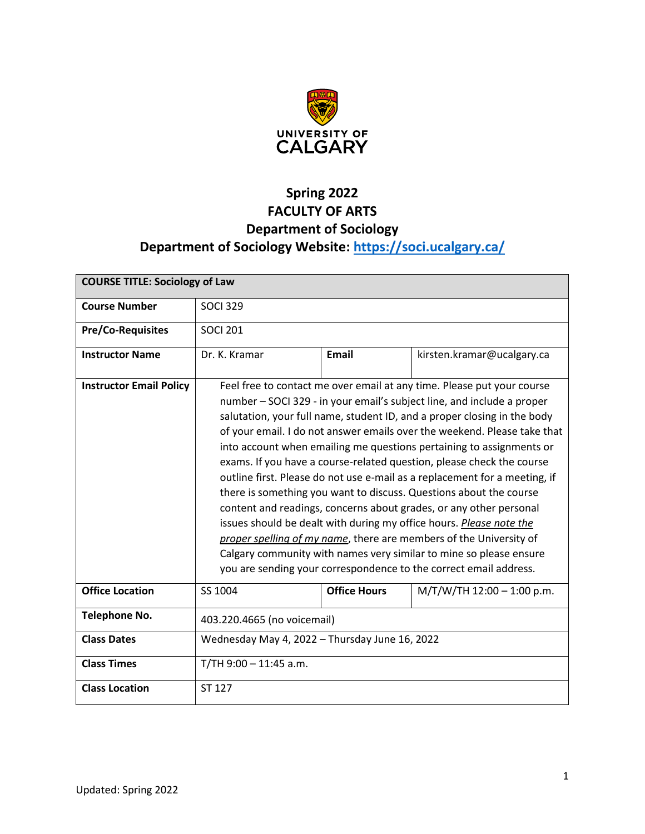

# **Spring 2022 FACULTY OF ARTS Department of Sociology Department of Sociology Website:<https://soci.ucalgary.ca/>**

| <b>COURSE TITLE: Sociology of Law</b> |                                                                                                                                                                                                                                                                                                                                                                                                                                                                                                                                                                                                                                                                                                                                                                                                                                                                                                                                                                             |                     |                            |  |
|---------------------------------------|-----------------------------------------------------------------------------------------------------------------------------------------------------------------------------------------------------------------------------------------------------------------------------------------------------------------------------------------------------------------------------------------------------------------------------------------------------------------------------------------------------------------------------------------------------------------------------------------------------------------------------------------------------------------------------------------------------------------------------------------------------------------------------------------------------------------------------------------------------------------------------------------------------------------------------------------------------------------------------|---------------------|----------------------------|--|
| <b>Course Number</b>                  | <b>SOCI 329</b>                                                                                                                                                                                                                                                                                                                                                                                                                                                                                                                                                                                                                                                                                                                                                                                                                                                                                                                                                             |                     |                            |  |
| <b>Pre/Co-Requisites</b>              | <b>SOCI 201</b>                                                                                                                                                                                                                                                                                                                                                                                                                                                                                                                                                                                                                                                                                                                                                                                                                                                                                                                                                             |                     |                            |  |
| <b>Instructor Name</b>                | Dr. K. Kramar                                                                                                                                                                                                                                                                                                                                                                                                                                                                                                                                                                                                                                                                                                                                                                                                                                                                                                                                                               | <b>Email</b>        | kirsten.kramar@ucalgary.ca |  |
| <b>Instructor Email Policy</b>        | Feel free to contact me over email at any time. Please put your course<br>number – SOCI 329 - in your email's subject line, and include a proper<br>salutation, your full name, student ID, and a proper closing in the body<br>of your email. I do not answer emails over the weekend. Please take that<br>into account when emailing me questions pertaining to assignments or<br>exams. If you have a course-related question, please check the course<br>outline first. Please do not use e-mail as a replacement for a meeting, if<br>there is something you want to discuss. Questions about the course<br>content and readings, concerns about grades, or any other personal<br>issues should be dealt with during my office hours. Please note the<br>proper spelling of my name, there are members of the University of<br>Calgary community with names very similar to mine so please ensure<br>you are sending your correspondence to the correct email address. |                     |                            |  |
| <b>Office Location</b>                | SS 1004                                                                                                                                                                                                                                                                                                                                                                                                                                                                                                                                                                                                                                                                                                                                                                                                                                                                                                                                                                     | <b>Office Hours</b> | M/T/W/TH 12:00 - 1:00 p.m. |  |
| <b>Telephone No.</b>                  | 403.220.4665 (no voicemail)                                                                                                                                                                                                                                                                                                                                                                                                                                                                                                                                                                                                                                                                                                                                                                                                                                                                                                                                                 |                     |                            |  |
| <b>Class Dates</b>                    | Wednesday May 4, 2022 - Thursday June 16, 2022                                                                                                                                                                                                                                                                                                                                                                                                                                                                                                                                                                                                                                                                                                                                                                                                                                                                                                                              |                     |                            |  |
| <b>Class Times</b>                    | $T/TH$ 9:00 - 11:45 a.m.                                                                                                                                                                                                                                                                                                                                                                                                                                                                                                                                                                                                                                                                                                                                                                                                                                                                                                                                                    |                     |                            |  |
| <b>Class Location</b>                 | ST 127                                                                                                                                                                                                                                                                                                                                                                                                                                                                                                                                                                                                                                                                                                                                                                                                                                                                                                                                                                      |                     |                            |  |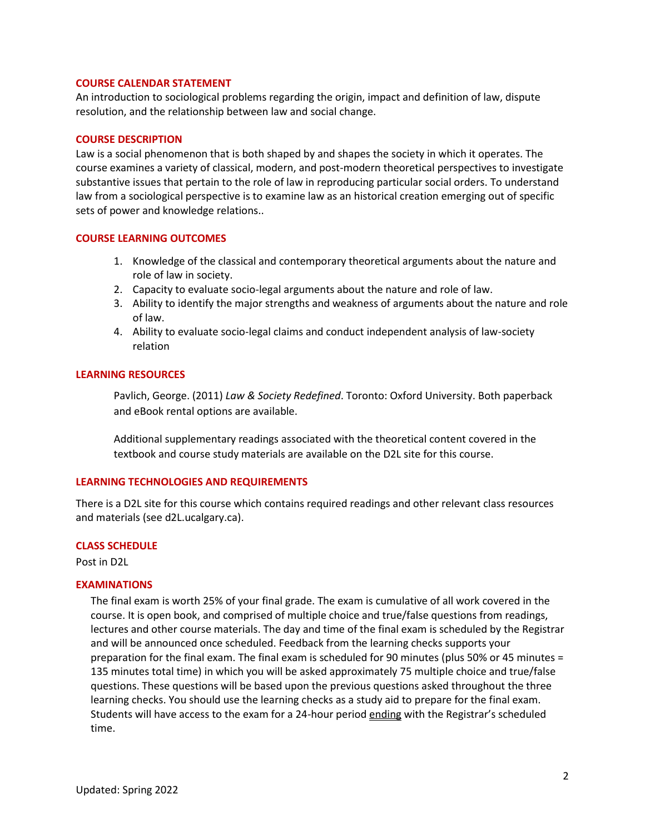## **COURSE CALENDAR STATEMENT**

An introduction to sociological problems regarding the origin, impact and definition of law, dispute resolution, and the relationship between law and social change.

#### **COURSE DESCRIPTION**

Law is a social phenomenon that is both shaped by and shapes the society in which it operates. The course examines a variety of classical, modern, and post-modern theoretical perspectives to investigate substantive issues that pertain to the role of law in reproducing particular social orders. To understand law from a sociological perspective is to examine law as an historical creation emerging out of specific sets of power and knowledge relations..

#### **COURSE LEARNING OUTCOMES**

- 1. Knowledge of the classical and contemporary theoretical arguments about the nature and role of law in society.
- 2. Capacity to evaluate socio-legal arguments about the nature and role of law.
- 3. Ability to identify the major strengths and weakness of arguments about the nature and role of law.
- 4. Ability to evaluate socio-legal claims and conduct independent analysis of law-society relation

### **LEARNING RESOURCES**

Pavlich, George. (2011) *Law & Society Redefined*. Toronto: Oxford University. Both paperback and eBook rental options are available.

Additional supplementary readings associated with the theoretical content covered in the textbook and course study materials are available on the D2L site for this course.

#### **LEARNING TECHNOLOGIES AND REQUIREMENTS**

There is a D2L site for this course which contains required readings and other relevant class resources and materials (see d2L.ucalgary.ca).

#### **CLASS SCHEDULE**

Post in D2L

## **EXAMINATIONS**

The final exam is worth 25% of your final grade. The exam is cumulative of all work covered in the course. It is open book, and comprised of multiple choice and true/false questions from readings, lectures and other course materials. The day and time of the final exam is scheduled by the Registrar and will be announced once scheduled. Feedback from the learning checks supports your preparation for the final exam. The final exam is scheduled for 90 minutes (plus 50% or 45 minutes = 135 minutes total time) in which you will be asked approximately 75 multiple choice and true/false questions. These questions will be based upon the previous questions asked throughout the three learning checks. You should use the learning checks as a study aid to prepare for the final exam. Students will have access to the exam for a 24-hour period ending with the Registrar's scheduled time.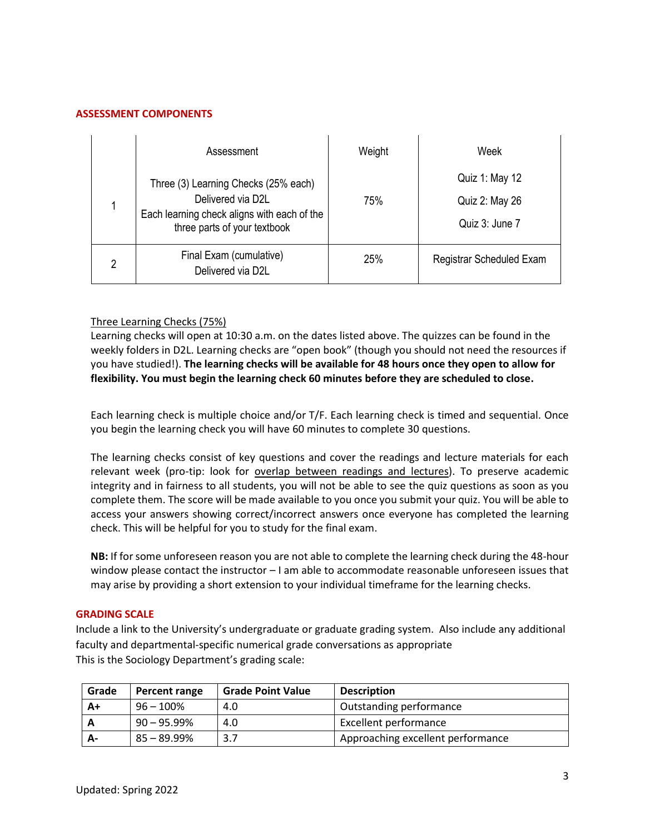# **ASSESSMENT COMPONENTS**

 $\overline{\phantom{0}}$ 

 $\blacksquare$ 

|   | Assessment                                                                                       | Weight | Week                     |
|---|--------------------------------------------------------------------------------------------------|--------|--------------------------|
|   | Three (3) Learning Checks (25% each)                                                             | 75%    | Quiz 1: May 12           |
|   | Delivered via D2L<br>Each learning check aligns with each of the<br>three parts of your textbook |        | Quiz 2: May 26           |
|   |                                                                                                  |        | Quiz 3: June 7           |
| 2 | Final Exam (cumulative)<br>Delivered via D2L                                                     | 25%    | Registrar Scheduled Exam |

# Three Learning Checks (75%)

Learning checks will open at 10:30 a.m. on the dates listed above. The quizzes can be found in the weekly folders in D2L. Learning checks are "open book" (though you should not need the resources if you have studied!). **The learning checks will be available for 48 hours once they open to allow for flexibility. You must begin the learning check 60 minutes before they are scheduled to close.**

Each learning check is multiple choice and/or T/F. Each learning check is timed and sequential. Once you begin the learning check you will have 60 minutes to complete 30 questions.

The learning checks consist of key questions and cover the readings and lecture materials for each relevant week (pro-tip: look for overlap between readings and lectures). To preserve academic integrity and in fairness to all students, you will not be able to see the quiz questions as soon as you complete them. The score will be made available to you once you submit your quiz. You will be able to access your answers showing correct/incorrect answers once everyone has completed the learning check. This will be helpful for you to study for the final exam.

**NB:** If for some unforeseen reason you are not able to complete the learning check during the 48-hour window please contact the instructor – I am able to accommodate reasonable unforeseen issues that may arise by providing a short extension to your individual timeframe for the learning checks.

## **GRADING SCALE**

Include a link to the University's undergraduate or graduate grading system. Also include any additional faculty and departmental-specific numerical grade conversations as appropriate This is the Sociology Department's grading scale:

| Grade | Percent range  | <b>Grade Point Value</b> | <b>Description</b>                |
|-------|----------------|--------------------------|-----------------------------------|
| $A+$  | $96 - 100\%$   | 4.0                      | Outstanding performance           |
|       | $90 - 95.99\%$ | 4.0                      | <b>Excellent performance</b>      |
| А-    | 85 – 89.99%    | 3.7                      | Approaching excellent performance |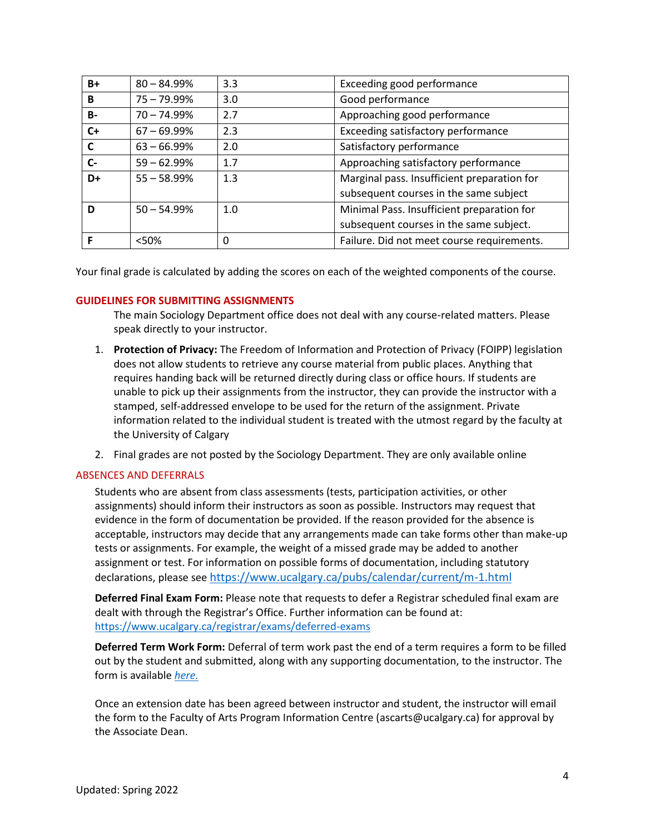| $B+$      | $80 - 84.99%$  | 3.3 | Exceeding good performance                  |
|-----------|----------------|-----|---------------------------------------------|
| B         | $75 - 79.99%$  | 3.0 | Good performance                            |
| <b>B-</b> | $70 - 74.99\%$ | 2.7 | Approaching good performance                |
| $C+$      | $67 - 69.99\%$ | 2.3 | Exceeding satisfactory performance          |
| C         | $63 - 66.99\%$ | 2.0 | Satisfactory performance                    |
| $C-$      | $59 - 62.99%$  | 1.7 | Approaching satisfactory performance        |
| D+        | $55 - 58.99%$  | 1.3 | Marginal pass. Insufficient preparation for |
|           |                |     | subsequent courses in the same subject      |
| D         | $50 - 54.99\%$ | 1.0 | Minimal Pass. Insufficient preparation for  |
|           |                |     | subsequent courses in the same subject.     |
|           | <50%           | 0   | Failure. Did not meet course requirements.  |

Your final grade is calculated by adding the scores on each of the weighted components of the course.

# **GUIDELINES FOR SUBMITTING ASSIGNMENTS**

The main Sociology Department office does not deal with any course-related matters. Please speak directly to your instructor.

- 1. **Protection of Privacy:** The Freedom of Information and Protection of Privacy (FOIPP) legislation does not allow students to retrieve any course material from public places. Anything that requires handing back will be returned directly during class or office hours. If students are unable to pick up their assignments from the instructor, they can provide the instructor with a stamped, self-addressed envelope to be used for the return of the assignment. Private information related to the individual student is treated with the utmost regard by the faculty at the University of Calgary
- 2. Final grades are not posted by the Sociology Department. They are only available online

# ABSENCES AND DEFERRALS

Students who are absent from class assessments (tests, participation activities, or other assignments) should inform their instructors as soon as possible. Instructors may request that evidence in the form of documentation be provided. If the reason provided for the absence is acceptable, instructors may decide that any arrangements made can take forms other than make-up tests or assignments. For example, the weight of a missed grade may be added to another assignment or test. For information on possible forms of documentation, including statutory declarations, please see <https://www.ucalgary.ca/pubs/calendar/current/m-1.html>

**Deferred Final Exam Form:** Please note that requests to defer a Registrar scheduled final exam are dealt with through the Registrar's Office. Further information can be found at: <https://www.ucalgary.ca/registrar/exams/deferred-exams>

**Deferred Term Work Form:** Deferral of term work past the end of a term requires a form to be filled out by the student and submitted, along with any supporting documentation, to the instructor. The form is available *[here.](https://www.ucalgary.ca/registrar/student-centre/student-forms)*

Once an extension date has been agreed between instructor and student, the instructor will email the form to the Faculty of Arts Program Information Centre (ascarts@ucalgary.ca) for approval by the Associate Dean.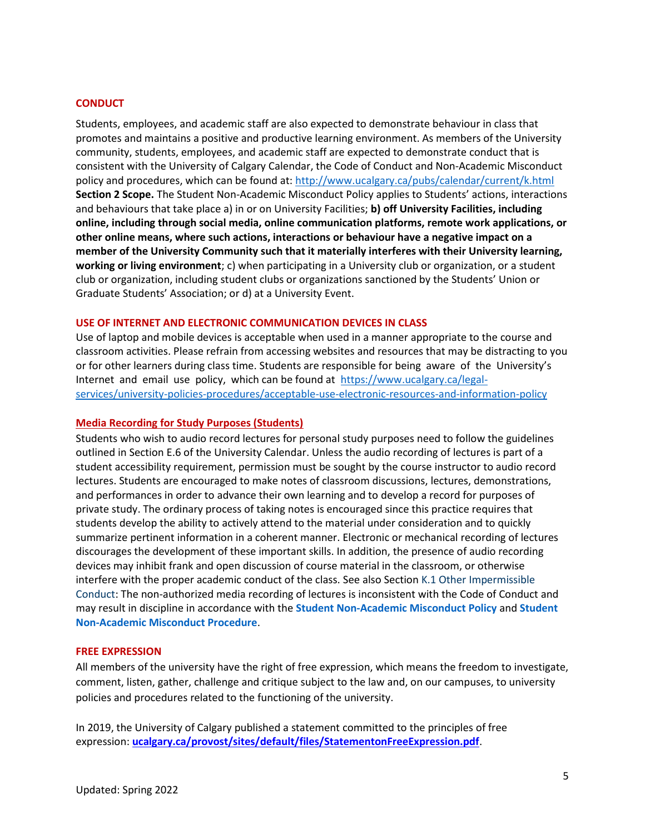# **CONDUCT**

Students, employees, and academic staff are also expected to demonstrate behaviour in class that promotes and maintains a positive and productive learning environment. As members of the University community, students, employees, and academic staff are expected to demonstrate conduct that is consistent with the University of Calgary Calendar, the Code of Conduct and Non-Academic Misconduct policy and procedures, which can be found at:<http://www.ucalgary.ca/pubs/calendar/current/k.html> **Section 2 Scope.** The Student Non-Academic Misconduct Policy applies to Students' actions, interactions and behaviours that take place a) in or on University Facilities; **b) off University Facilities, including online, including through social media, online communication platforms, remote work applications, or other online means, where such actions, interactions or behaviour have a negative impact on a member of the University Community such that it materially interferes with their University learning, working or living environment**; c) when participating in a University club or organization, or a student club or organization, including student clubs or organizations sanctioned by the Students' Union or Graduate Students' Association; or d) at a University Event.

### **USE OF INTERNET AND ELECTRONIC COMMUNICATION DEVICES IN CLASS**

Use of laptop and mobile devices is acceptable when used in a manner appropriate to the course and classroom activities. Please refrain from accessing websites and resources that may be distracting to you or for other learners during class time. Students are responsible for being aware of the University's Internet and email use policy, which can be found at [https://www.ucalgary.ca/legal](https://www.ucalgary.ca/legal-services/university-policies-procedures/acceptable-use-electronic-resources-and-information-policy)[services/university-policies-procedures/acceptable-use-electronic-resources-and-information-policy](https://www.ucalgary.ca/legal-services/university-policies-procedures/acceptable-use-electronic-resources-and-information-policy)

#### **Media Recording for Study Purposes (Students)**

Students who wish to audio record lectures for personal study purposes need to follow the guidelines outlined i[n Section E.6 of the University Calendar.](https://www.ucalgary.ca/pubs/calendar/current/e-6.html) Unless the audio recording of lectures is part of a student accessibility requirement, permission must be sought by the course instructor to audio record lectures. Students are encouraged to make notes of classroom discussions, lectures, demonstrations, and performances in order to advance their own learning and to develop a record for purposes of private study. The ordinary process of taking notes is encouraged since this practice requires that students develop the ability to actively attend to the material under consideration and to quickly summarize pertinent information in a coherent manner. Electronic or mechanical recording of lectures discourages the development of these important skills. In addition, the presence of audio recording devices may inhibit frank and open discussion of course material in the classroom, or otherwise interfere with the proper academic conduct of the class. See also Section K.1 Other Impermissible Conduct: The non-authorized media recording of lectures is inconsistent with the Code of Conduct and may result in discipline in accordance with the **[Student Non-Academic Misconduct Policy](https://www.ucalgary.ca/legal-services/university-policies-procedures/student-non-academic-misconduct-policy)** and **[Student](https://www.ucalgary.ca/legal-services/university-policies-procedures/student-non-academic-misconduct-procedure)  [Non-Academic Misconduct Procedure](https://www.ucalgary.ca/legal-services/university-policies-procedures/student-non-academic-misconduct-procedure)**.

#### **FREE EXPRESSION**

All members of the university have the right of free expression, which means the freedom to investigate, comment, listen, gather, challenge and critique subject to the law and, on our campuses, to university policies and procedures related to the functioning of the university.

In 2019, the University of Calgary published a statement committed to the principles of free expression: **[ucalgary.ca/provost/sites/default/files/StatementonFreeExpression.pdf](https://www.ucalgary.ca/provost/sites/default/files/StatementonFreeExpression.pdf)**.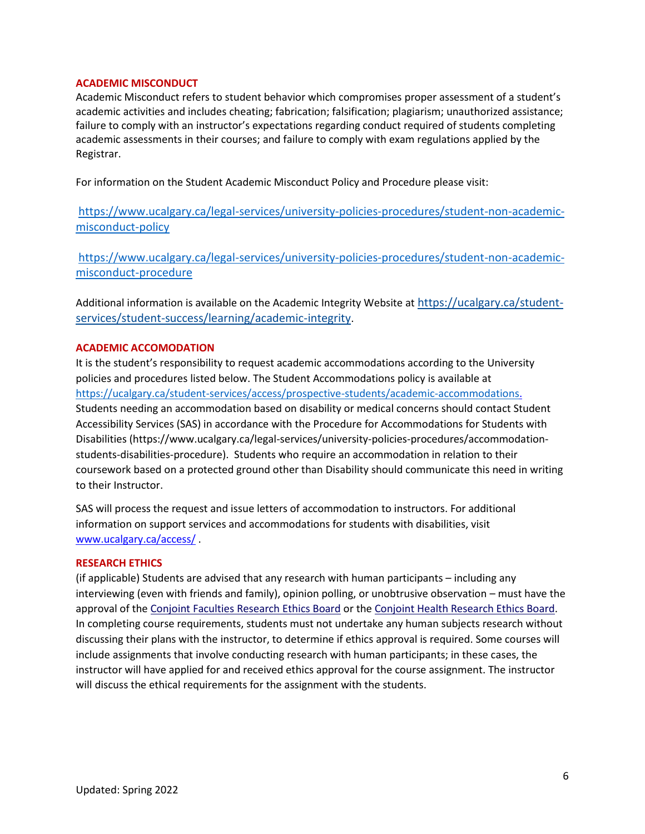# **ACADEMIC MISCONDUCT**

Academic Misconduct refers to student behavior which compromises proper assessment of a student's academic activities and includes cheating; fabrication; falsification; plagiarism; unauthorized assistance; failure to comply with an instructor's expectations regarding conduct required of students completing academic assessments in their courses; and failure to comply with exam regulations applied by the Registrar.

For information on the Student Academic Misconduct Policy and Procedure please visit:

[https://www.ucalgary.ca/legal-services/university-policies-procedures/student-non-academic](https://www.ucalgary.ca/legal-services/university-policies-procedures/student-non-academic-misconduct-policy)[misconduct-policy](https://www.ucalgary.ca/legal-services/university-policies-procedures/student-non-academic-misconduct-policy)

[https://www.ucalgary.ca/legal-services/university-policies-procedures/student-non-academic](https://www.ucalgary.ca/legal-services/university-policies-procedures/student-non-academic-misconduct-procedure)[misconduct-procedure](https://www.ucalgary.ca/legal-services/university-policies-procedures/student-non-academic-misconduct-procedure)

Additional information is available on the Academic Integrity Website at [https://ucalgary.ca/student](https://ucalgary.ca/student-services/student-success/learning/academic-integrity)[services/student-success/learning/academic-integrity](https://ucalgary.ca/student-services/student-success/learning/academic-integrity).

# **ACADEMIC ACCOMODATION**

It is the student's responsibility to request academic accommodations according to the University policies and procedures listed below. The Student Accommodations policy is available at [https://ucalgary.ca/student-services/access/prospective-students/academic-accommodations.](https://ucalgary.ca/student-services/access/prospective-students/academic-accommodations) Students needing an accommodation based on disability or medical concerns should contact Student Accessibility Services (SAS) in accordance with the Procedure for Accommodations for Students with Disabilities (https://www.ucalgary.ca/legal-services/university-policies-procedures/accommodationstudents-disabilities-procedure). Students who require an accommodation in relation to their coursework based on a protected ground other than Disability should communicate this need in writing to their Instructor.

SAS will process the request and issue letters of accommodation to instructors. For additional information on support services and accommodations for students with disabilities, visit [www.ucalgary.ca/access/](http://www.ucalgary.ca/access/) .

# **RESEARCH ETHICS**

(if applicable) Students are advised that any research with human participants – including any interviewing (even with friends and family), opinion polling, or unobtrusive observation – must have the approval of the [Conjoint Faculties Research Ethics Board](https://research.ucalgary.ca/conduct-research/ethics-compliance/human-research-ethics/conjoint-faculties-research-ethics-board) or the [Conjoint Health Research Ethics Board.](https://research.ucalgary.ca/conduct-research/ethics-compliance/human-research-ethics/conjoint-health-research-ethics-board) In completing course requirements, students must not undertake any human subjects research without discussing their plans with the instructor, to determine if ethics approval is required. Some courses will include assignments that involve conducting research with human participants; in these cases, the instructor will have applied for and received ethics approval for the course assignment. The instructor will discuss the ethical requirements for the assignment with the students.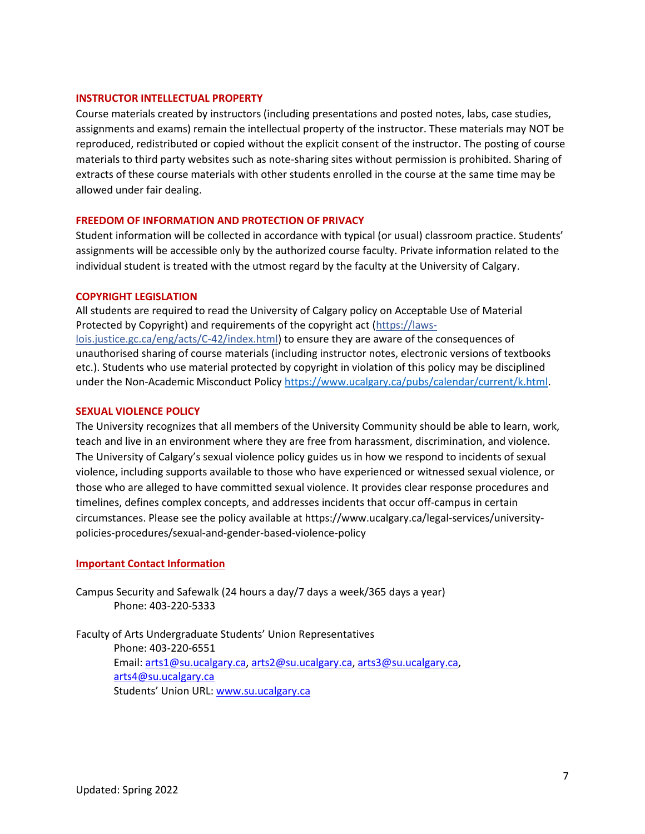# **INSTRUCTOR INTELLECTUAL PROPERTY**

Course materials created by instructors (including presentations and posted notes, labs, case studies, assignments and exams) remain the intellectual property of the instructor. These materials may NOT be reproduced, redistributed or copied without the explicit consent of the instructor. The posting of course materials to third party websites such as note-sharing sites without permission is prohibited. Sharing of extracts of these course materials with other students enrolled in the course at the same time may be allowed under fair dealing.

# **FREEDOM OF INFORMATION AND PROTECTION OF PRIVACY**

Student information will be collected in accordance with typical (or usual) classroom practice. Students' assignments will be accessible only by the authorized course faculty. Private information related to the individual student is treated with the utmost regard by the faculty at the University of Calgary.

## **COPYRIGHT LEGISLATION**

All students are required to read the University of Calgary policy on Acceptable Use of Material Protected by Copyright) and requirements of the copyright act (https://lawslois.justice.gc.ca/eng/acts/C-42/index.html) to ensure they are aware of the consequences of unauthorised sharing of course materials (including instructor notes, electronic versions of textbooks etc.). Students who use material protected by copyright in violation of this policy may be disciplined under the Non-Academic Misconduct Policy [https://www.ucalgary.ca/pubs/calendar/current/k.html.](https://www.ucalgary.ca/pubs/calendar/current/k.html)

## **SEXUAL VIOLENCE POLICY**

The University recognizes that all members of the University Community should be able to learn, work, teach and live in an environment where they are free from harassment, discrimination, and violence. The University of Calgary's sexual violence policy guides us in how we respond to incidents of sexual violence, including supports available to those who have experienced or witnessed sexual violence, or those who are alleged to have committed sexual violence. It provides clear response procedures and timelines, defines complex concepts, and addresses incidents that occur off-campus in certain circumstances. Please see the policy available at https://www.ucalgary.ca/legal-services/universitypolicies-procedures/sexual-and-gender-based-violence-policy

## **Important Contact Information**

Campus Security and Safewalk (24 hours a day/7 days a week/365 days a year) Phone: 403-220-5333

Faculty of Arts Undergraduate Students' Union Representatives Phone: 403-220-6551 Email: [arts1@su.ucalgary.ca,](mailto:arts1@su.ucalgary.ca) [arts2@su.ucalgary.ca,](mailto:arts2@su.ucalgary.ca) [arts3@su.ucalgary.ca,](mailto:arts3@su.ucalgary.ca) [arts4@su.ucalgary.ca](mailto:arts4@su.ucalgary.ca) Students' Union URL: [www.su.ucalgary.ca](http://www.su.ucalgary.ca/)